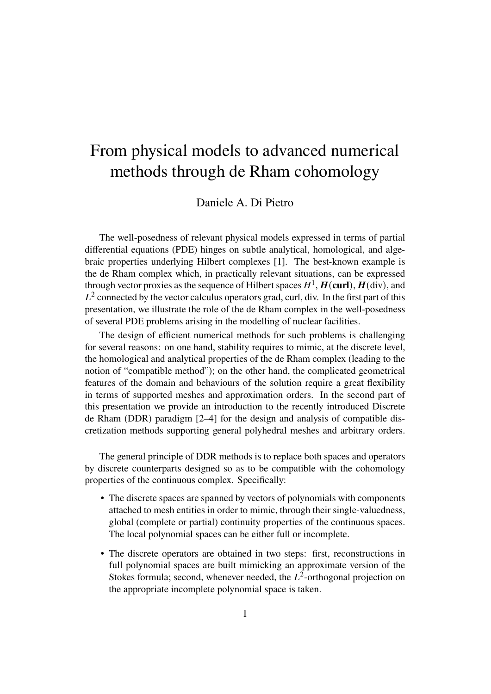## From physical models to advanced numerical methods through de Rham cohomology

Daniele A. Di Pietro

The well-posedness of relevant physical models expressed in terms of partial differential equations (PDE) hinges on subtle analytical, homological, and algebraic properties underlying Hilbert complexes [1]. The best-known example is the de Rham complex which, in practically relevant situations, can be expressed through vector proxies as the sequence of Hilbert spaces  $H^1$ ,  $H$ (curl),  $H$ (div), and  $L^2$  connected by the vector calculus operators grad, curl, div. In the first part of this presentation, we illustrate the role of the de Rham complex in the well-posedness of several PDE problems arising in the modelling of nuclear facilities.

The design of efficient numerical methods for such problems is challenging for several reasons: on one hand, stability requires to mimic, at the discrete level, the homological and analytical properties of the de Rham complex (leading to the notion of "compatible method"); on the other hand, the complicated geometrical features of the domain and behaviours of the solution require a great flexibility in terms of supported meshes and approximation orders. In the second part of this presentation we provide an introduction to the recently introduced Discrete de Rham (DDR) paradigm [2–4] for the design and analysis of compatible discretization methods supporting general polyhedral meshes and arbitrary orders.

The general principle of DDR methods is to replace both spaces and operators by discrete counterparts designed so as to be compatible with the cohomology properties of the continuous complex. Specifically:

- The discrete spaces are spanned by vectors of polynomials with components attached to mesh entities in order to mimic, through their single-valuedness, global (complete or partial) continuity properties of the continuous spaces. The local polynomial spaces can be either full or incomplete.
- The discrete operators are obtained in two steps: first, reconstructions in full polynomial spaces are built mimicking an approximate version of the Stokes formula; second, whenever needed, the  $L^2$ -orthogonal projection on the appropriate incomplete polynomial space is taken.